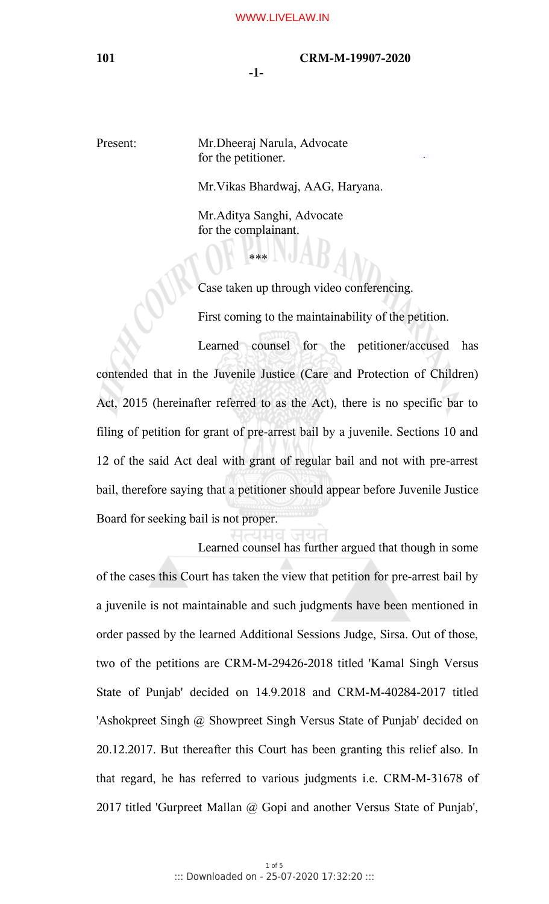#### **101 CRM-M-19907-2020**

**-1-**

Present: Mr.Dheeraj Narula, Advocate for the petitioner.

Mr.Vikas Bhardwaj, AAG, Haryana.

Mr.Aditya Sanghi, Advocate for the complainant.

\*\*\*

Case taken up through video conferencing.

First coming to the maintainability of the petition.

Learned counsel for the petitioner/accused has contended that in the Juvenile Justice (Care and Protection of Children) Act, 2015 (hereinafter referred to as the Act), there is no specific bar to filing of petition for grant of pre-arrest bail by a juvenile. Sections 10 and 12 of the said Act deal with grant of regular bail and not with pre-arrest bail, therefore saying that a petitioner should appear before Juvenile Justice Board for seeking bail is not proper.

Learned counsel has further argued that though in some of the cases this Court has taken the view that petition for pre-arrest bail by a juvenile is not maintainable and such judgments have been mentioned in order passed by the learned Additional Sessions Judge, Sirsa. Out of those, two of the petitions are CRM-M-29426-2018 titled 'Kamal Singh Versus State of Punjab' decided on 14.9.2018 and CRM-M-40284-2017 titled 'Ashokpreet Singh @ Showpreet Singh Versus State of Punjab' decided on 20.12.2017. But thereafter this Court has been granting this relief also. In that regard, he has referred to various judgments i.e. CRM-M-31678 of 2017 titled 'Gurpreet Mallan @ Gopi and another Versus State of Punjab',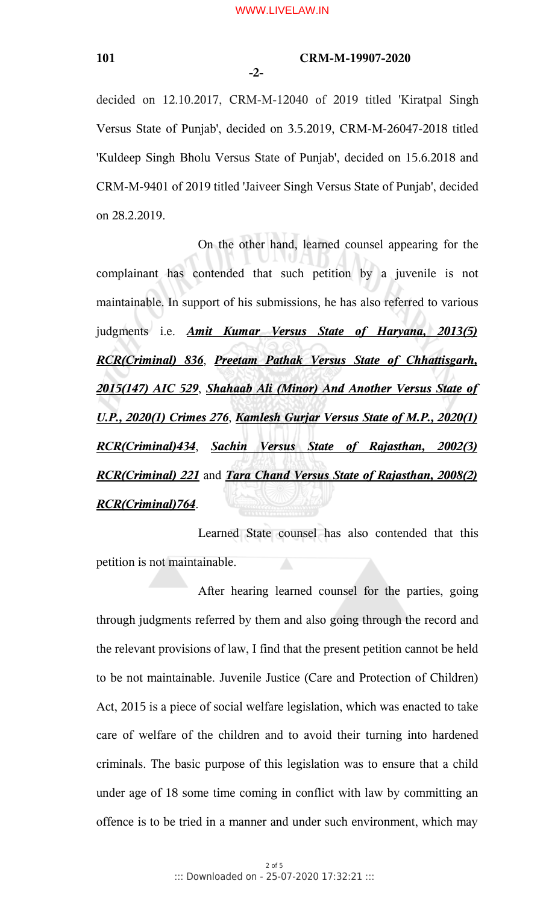**-2-**

## **101 CRM-M-19907-2020**

decided on 12.10.2017, CRM-M-12040 of 2019 titled 'Kiratpal Singh Versus State of Punjab', decided on 3.5.2019, CRM-M-26047-2018 titled 'Kuldeep Singh Bholu Versus State of Punjab', decided on 15.6.2018 and CRM-M-9401 of 2019 titled 'Jaiveer Singh Versus State of Punjab', decided on 28.2.2019.

On the other hand, learned counsel appearing for the complainant has contended that such petition by a juvenile is not maintainable. In support of his submissions, he has also referred to various judgments i.e. *Amit Kumar Versus State of Haryana, 2013(5) RCR(Criminal) 836*, *Preetam Pathak Versus State of Chhattisgarh, 2015(147) AIC 529*, *Shahaab Ali (Minor) And Another Versus State of U.P., 2020(1) Crimes 276*, *Kamlesh Gurjar Versus State of M.P., 2020(1) RCR(Criminal)434*, *Sachin Versus State of Rajasthan, 2002(3) RCR(Criminal) 221* and *Tara Chand Versus State of Rajasthan, 2008(2) RCR(Criminal)764*.

Learned State counsel has also contended that this petition is not maintainable.

After hearing learned counsel for the parties, going through judgments referred by them and also going through the record and the relevant provisions of law, I find that the present petition cannot be held to be not maintainable. Juvenile Justice (Care and Protection of Children) Act, 2015 is a piece of social welfare legislation, which was enacted to take care of welfare of the children and to avoid their turning into hardened criminals. The basic purpose of this legislation was to ensure that a child under age of 18 some time coming in conflict with law by committing an offence is to be tried in a manner and under such environment, which may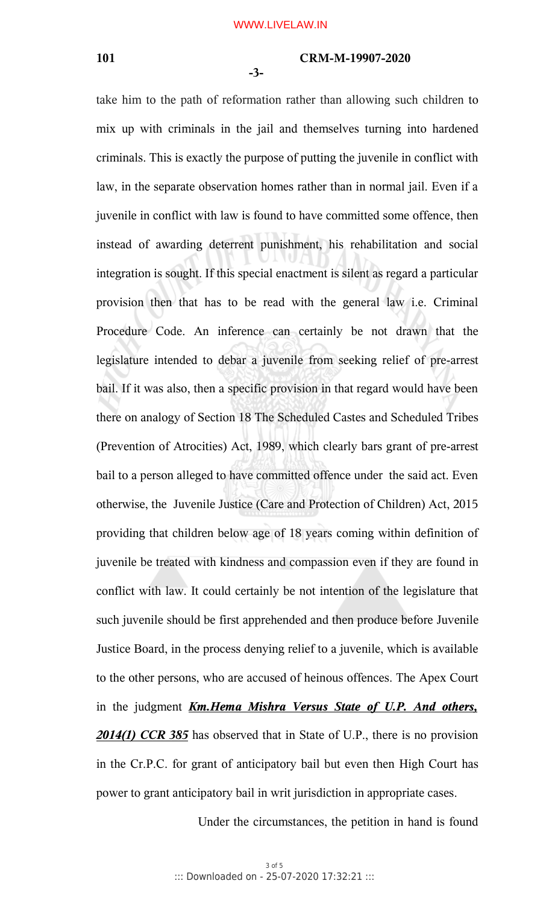# **101 CRM-M-19907-2020**

**-3-**

take him to the path of reformation rather than allowing such children to mix up with criminals in the jail and themselves turning into hardened criminals. This is exactly the purpose of putting the juvenile in conflict with law, in the separate observation homes rather than in normal jail. Even if a juvenile in conflict with law is found to have committed some offence, then instead of awarding deterrent punishment, his rehabilitation and social integration is sought. If this special enactment is silent as regard a particular provision then that has to be read with the general law i.e. Criminal Procedure Code. An inference can certainly be not drawn that the legislature intended to debar a juvenile from seeking relief of pre-arrest bail. If it was also, then a specific provision in that regard would have been there on analogy of Section 18 The Scheduled Castes and Scheduled Tribes (Prevention of Atrocities) Act, 1989, which clearly bars grant of pre-arrest bail to a person alleged to have committed offence under the said act. Even otherwise, the Juvenile Justice (Care and Protection of Children) Act, 2015 providing that children below age of 18 years coming within definition of juvenile be treated with kindness and compassion even if they are found in conflict with law. It could certainly be not intention of the legislature that such juvenile should be first apprehended and then produce before Juvenile Justice Board, in the process denying relief to a juvenile, which is available to the other persons, who are accused of heinous offences. The Apex Court in the judgment *Km.Hema Mishra Versus State of U.P. And others, 2014(1) CCR 385* has observed that in State of U.P., there is no provision in the Cr.P.C. for grant of anticipatory bail but even then High Court has power to grant anticipatory bail in writ jurisdiction in appropriate cases.

Under the circumstances, the petition in hand is found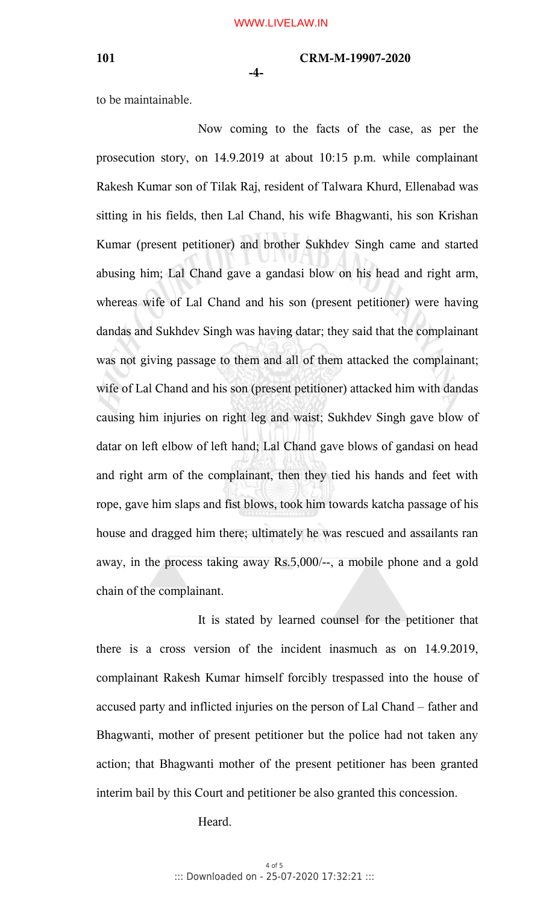## **101 CRM-M-19907-2020**

**-4-**

to be maintainable.

Now coming to the facts of the case, as per the prosecution story, on 14.9.2019 at about 10:15 p.m. while complainant Rakesh Kumar son of Tilak Raj, resident of Talwara Khurd, Ellenabad was sitting in his fields, then Lal Chand, his wife Bhagwanti, his son Krishan Kumar (present petitioner) and brother Sukhdev Singh came and started abusing him; Lal Chand gave a gandasi blow on his head and right arm, whereas wife of Lal Chand and his son (present petitioner) were having dandas and Sukhdev Singh was having datar; they said that the complainant was not giving passage to them and all of them attacked the complainant; wife of Lal Chand and his son (present petitioner) attacked him with dandas causing him injuries on right leg and waist; Sukhdev Singh gave blow of datar on left elbow of left hand; Lal Chand gave blows of gandasi on head and right arm of the complainant, then they tied his hands and feet with rope, gave him slaps and fist blows, took him towards katcha passage of his house and dragged him there; ultimately he was rescued and assailants ran away, in the process taking away Rs.5,000/--, a mobile phone and a gold chain of the complainant.

It is stated by learned counsel for the petitioner that there is a cross version of the incident inasmuch as on 14.9.2019, complainant Rakesh Kumar himself forcibly trespassed into the house of accused party and inflicted injuries on the person of Lal Chand – father and Bhagwanti, mother of present petitioner but the police had not taken any action; that Bhagwanti mother of the present petitioner has been granted interim bail by this Court and petitioner be also granted this concession.

Heard.